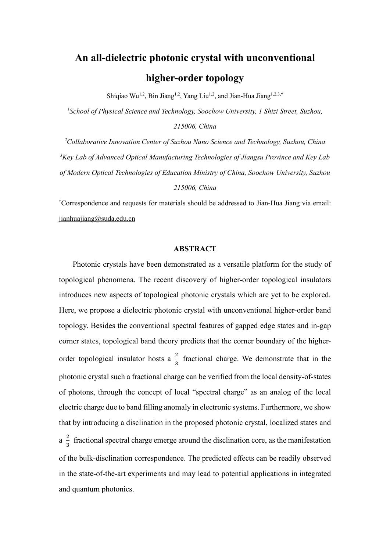# **An all-dielectric photonic crystal with unconventional higher-order topology**

Shiqiao Wu<sup>1,2</sup>, Bin Jiang<sup>1,2</sup>, Yang Liu<sup>1,2</sup>, and Jian-Hua Jiang<sup>1,2,3,†</sup>

*1 School of Physical Science and Technology, Soochow University, 1 Shizi Street, Suzhou,* 

*215006, China*

*<sup>2</sup>Collaborative Innovation Center of Suzhou Nano Science and Technology, Suzhou, China <sup>3</sup>Key Lab of Advanced Optical Manufacturing Technologies of Jiangsu Province and Key Lab of Modern Optical Technologies of Education Ministry of China, Soochow University, Suzhou* 

#### *215006, China*

†Correspondence and requests for materials should be addressed to Jian-Hua Jiang via email: [jianhuajiang@suda.edu.cn](mailto:jianhuajiang@suda.edu.cn)

# **ABSTRACT**

Photonic crystals have been demonstrated as a versatile platform for the study of topological phenomena. The recent discovery of higher-order topological insulators introduces new aspects of topological photonic crystals which are yet to be explored. Here, we propose a dielectric photonic crystal with unconventional higher-order band topology. Besides the conventional spectral features of gapped edge states and in-gap corner states, topological band theory predicts that the corner boundary of the higherorder topological insulator hosts a  $\frac{2}{3}$  $\frac{2}{3}$  fractional charge. We demonstrate that in the photonic crystal such a fractional charge can be verified from the local density-of-states of photons, through the concept of local "spectral charge" as an analog of the local electric charge due to band filling anomaly in electronic systems. Furthermore, we show that by introducing a disclination in the proposed photonic crystal, localized states and  $a \frac{2}{3}$  $\frac{2}{3}$  fractional spectral charge emerge around the disclination core, as the manifestation of the bulk-disclination correspondence. The predicted effects can be readily observed in the state-of-the-art experiments and may lead to potential applications in integrated and quantum photonics.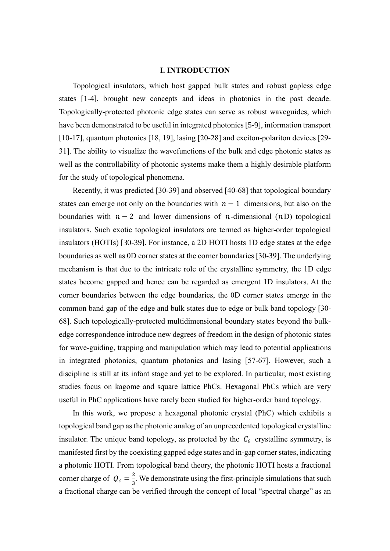# **I. INTRODUCTION**

Topological insulators, which host gapped bulk states and robust gapless edge states [1-4], brought new concepts and ideas in photonics in the past decade. Topologically-protected photonic edge states can serve as robust waveguides, which have been demonstrated to be useful in integrated photonics [5-9], information transport [10-17], quantum photonics [18, 19], lasing [20-28] and exciton-polariton devices [29- 31]. The ability to visualize the wavefunctions of the bulk and edge photonic states as well as the controllability of photonic systems make them a highly desirable platform for the study of topological phenomena.

Recently, it was predicted [30-39] and observed [40-68] that topological boundary states can emerge not only on the boundaries with  $n - 1$  dimensions, but also on the boundaries with  $n - 2$  and lower dimensions of *n*-dimensional (*n*D) topological insulators. Such exotic topological insulators are termed as higher-order topological insulators (HOTIs) [30-39]. For instance, a 2D HOTI hosts 1D edge states at the edge boundaries as well as 0D corner states at the corner boundaries [30-39]. The underlying mechanism is that due to the intricate role of the crystalline symmetry, the 1D edge states become gapped and hence can be regarded as emergent 1D insulators. At the corner boundaries between the edge boundaries, the 0D corner states emerge in the common band gap of the edge and bulk states due to edge or bulk band topology [30- 68]. Such topologically-protected multidimensional boundary states beyond the bulkedge correspondence introduce new degrees of freedom in the design of photonic states for wave-guiding, trapping and manipulation which may lead to potential applications in integrated photonics, quantum photonics and lasing [57-67]. However, such a discipline is still at its infant stage and yet to be explored. In particular, most existing studies focus on kagome and square lattice PhCs. Hexagonal PhCs which are very useful in PhC applications have rarely been studied for higher-order band topology.

In this work, we propose a hexagonal photonic crystal (PhC) which exhibits a topological band gap as the photonic analog of an unprecedented topological crystalline insulator. The unique band topology, as protected by the  $C_6$  crystalline symmetry, is manifested first by the coexisting gapped edge states and in-gap corner states, indicating a photonic HOTI. From topological band theory, the photonic HOTI hosts a fractional corner charge of  $Q_c = \frac{2}{3}$  $\frac{2}{3}$ . We demonstrate using the first-principle simulations that such a fractional charge can be verified through the concept of local "spectral charge" as an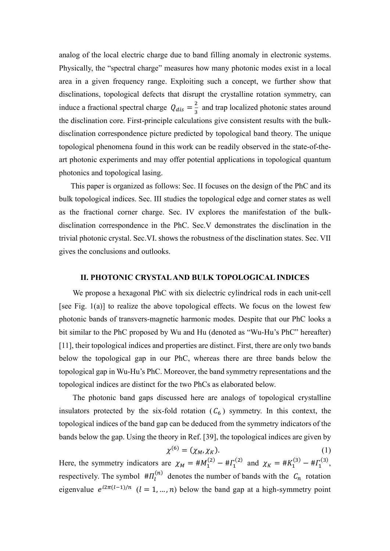analog of the local electric charge due to band filling anomaly in electronic systems. Physically, the "spectral charge" measures how many photonic modes exist in a local area in a given frequency range. Exploiting such a concept, we further show that disclinations, topological defects that disrupt the crystalline rotation symmetry, can induce a fractional spectral charge  $Q_{dis} = \frac{2}{3}$  $\frac{2}{3}$  and trap localized photonic states around the disclination core. First-principle calculations give consistent results with the bulkdisclination correspondence picture predicted by topological band theory. The unique topological phenomena found in this work can be readily observed in the state-of-theart photonic experiments and may offer potential applications in topological quantum photonics and topological lasing.

This paper is organized as follows: Sec. II focuses on the design of the PhC and its bulk topological indices. Sec. III studies the topological edge and corner states as well as the fractional corner charge. Sec. IV explores the manifestation of the bulkdisclination correspondence in the PhC. Sec.V demonstrates the disclination in the trivial photonic crystal. Sec.VI. shows the robustness of the disclination states. Sec. VII gives the conclusions and outlooks.

#### **II. PHOTONIC CRYSTAL AND BULK TOPOLOGICAL INDICES**

We propose a hexagonal PhC with six dielectric cylindrical rods in each unit-cell [see Fig.  $1(a)$ ] to realize the above topological effects. We focus on the lowest few photonic bands of transvers-magnetic harmonic modes. Despite that our PhC looks a bit similar to the PhC proposed by Wu and Hu (denoted as "Wu-Hu's PhC" hereafter [11], their topological indices and properties are distinct. First, there are only two bands below the topological gap in our PhC, whereas there are three bands below the topological gap in Wu-Hu's PhC. Moreover, the band symmetry representations and the topological indices are distinct for the two PhCs as elaborated below.

The photonic band gaps discussed here are analogs of topological crystalline insulators protected by the six-fold rotation  $(C_6)$  symmetry. In this context, the topological indices of the band gap can be deduced from the symmetry indicators of the bands below the gap. Using the theory in Ref. [39], the topological indices are given by

$$
\chi^{(6)} = (\chi_M, \chi_K). \tag{1}
$$

Here, the symmetry indicators are  $\chi_M = #M_1^{(2)} - #T_1^{(2)}$  and  $\chi_K = #K_1^{(3)} - #T_1^{(3)}$ , respectively. The symbol  $#I_{l}^{(n)}$  denotes the number of bands with the  $C_n$  rotation eigenvalue  $e^{i2\pi(l-1)/n}$   $(l = 1, ..., n)$  below the band gap at a high-symmetry point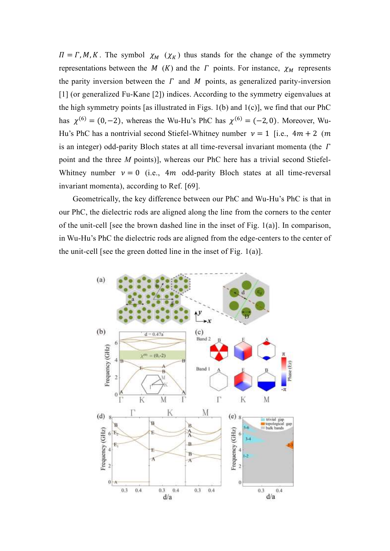$\Pi = \Gamma, M, K$ . The symbol  $\chi_M(\chi_K)$  thus stands for the change of the symmetry representations between the M  $(K)$  and the  $\Gamma$  points. For instance,  $\chi_M$  represents the parity inversion between the  $\Gamma$  and  $M$  points, as generalized parity-inversion [1] (or generalized Fu-Kane [2]) indices. According to the symmetry eigenvalues at the high symmetry points [as illustrated in Figs.  $1(b)$  and  $1(c)$ ], we find that our PhC has  $\chi^{(6)} = (0, -2)$ , whereas the Wu-Hu's PhC has  $\chi^{(6)} = (-2, 0)$ . Moreover, Wu-Hu's PhC has a nontrivial second Stiefel-Whitney number  $v = 1$  [i.e.,  $4m + 2$  (m) is an integer) odd-parity Bloch states at all time-reversal invariant momenta (the  $\Gamma$ point and the three *M* points)], whereas our PhC here has a trivial second Stiefel-Whitney number  $v = 0$  (i.e., 4*m* odd-parity Bloch states at all time-reversal invariant momenta), according to Ref. [69].

Geometrically, the key difference between our PhC and Wu-Hu's PhC is that in our PhC, the dielectric rods are aligned along the line from the corners to the center of the unit-cell [see the brown dashed line in the inset of Fig.  $1(a)$ ]. In comparison, in Wu-Hu's PhC the dielectric rods are aligned from the edge-centers to the center of the unit-cell [see the green dotted line in the inset of Fig.  $1(a)$ ].

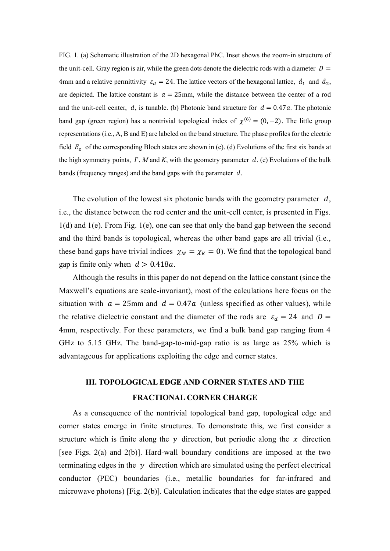FIG. 1. (a) Schematic illustration of the 2D hexagonal PhC. Inset shows the zoom-in structure of the unit-cell. Gray region is air, while the green dots denote the dielectric rods with a diameter  $D =$ 4mm and a relative permittivity  $\varepsilon_d = 24$ . The lattice vectors of the hexagonal lattice,  $\vec{a}_1$  and  $\vec{a}_2$ , are depicted. The lattice constant is  $a = 25$ mm, while the distance between the center of a rod and the unit-cell center, d, is tunable. (b) Photonic band structure for  $d = 0.47a$ . The photonic band gap (green region) has a nontrivial topological index of  $\chi^{(6)} = (0, -2)$ . The little group representations (i.e.,  $A$ ,  $B$  and  $E$ ) are labeled on the band structure. The phase profiles for the electric field  $E_z$  of the corresponding Bloch states are shown in (c). (d) Evolutions of the first six bands at the high symmetry points,  $\Gamma$ ,  $M$  and  $K$ , with the geometry parameter  $d$ . (e) Evolutions of the bulk bands (frequency ranges) and the band gaps with the parameter  $d$ .

The evolution of the lowest six photonic bands with the geometry parameter  $d$ , i.e., the distance between the rod center and the unit-cell center, is presented in Figs.  $1(d)$  and  $1(e)$ . From Fig.  $1(e)$ , one can see that only the band gap between the second and the third bands is topological, whereas the other band gaps are all trivial (i.e., these band gaps have trivial indices  $\chi_M = \chi_K = 0$ ). We find that the topological band gap is finite only when  $d > 0.418a$ .

Although the results in this paper do not depend on the lattice constant (since the Maxwell's equations are scale-invariant), most of the calculations here focus on the situation with  $a = 25$ mm and  $d = 0.47a$  (unless specified as other values), while the relative dielectric constant and the diameter of the rods are  $\varepsilon_d = 24$  and  $D =$ 4mm, respectively. For these parameters, we find a bulk band gap ranging from 4 GHz to 5.15 GHz. The band-gap-to-mid-gap ratio is as large as 25% which is advantageous for applications exploiting the edge and corner states.

# **III. TOPOLOGICAL EDGE AND CORNER STATES AND THE FRACTIONAL CORNER CHARGE**

As a consequence of the nontrivial topological band gap, topological edge and corner states emerge in finite structures. To demonstrate this, we first consider a structure which is finite along the  $y$  direction, but periodic along the  $x$  direction [see Figs.  $2(a)$  and  $2(b)$ ]. Hard-wall boundary conditions are imposed at the two terminating edges in the  $y$  direction which are simulated using the perfect electrical conductor (PEC) boundaries (i.e., metallic boundaries for far-infrared and microwave photons) [Fig.  $2(b)$ ]. Calculation indicates that the edge states are gapped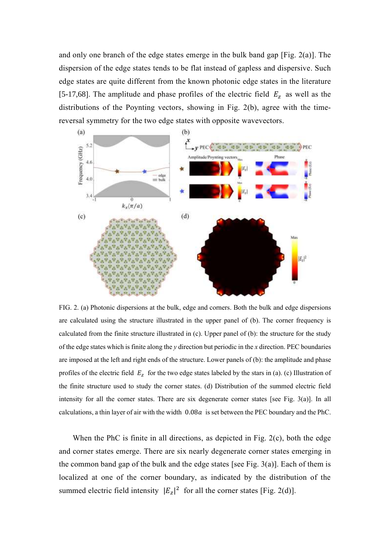and only one branch of the edge states emerge in the bulk band gap [Fig.  $2(a)$ ]. The dispersion of the edge states tends to be flat instead of gapless and dispersive. Such edge states are quite different from the known photonic edge states in the literature [5-17,68]. The amplitude and phase profiles of the electric field  $E_z$  as well as the distributions of the Poynting vectors, showing in Fig. 2(b), agree with the timereversal symmetry for the two edge states with opposite wavevectors.



FIG. 2. (a Photonic dispersions at the bulk, edge and corners. Both the bulk and edge dispersions are calculated using the structure illustrated in the upper panel of (b). The corner frequency is calculated from the finite structure illustrated in  $(c)$ . Upper panel of  $(b)$ : the structure for the study of the edge states which is finite along the *y* direction but periodic in the *x* direction. PEC boundaries are imposed at the left and right ends of the structure. Lower panels of (b): the amplitude and phase profiles of the electric field  $E_z$  for the two edge states labeled by the stars in (a). (c) Illustration of the finite structure used to study the corner states. (d) Distribution of the summed electric field intensity for all the corner states. There are six degenerate corner states [see Fig.  $3(a)$ ]. In all calculations, a thin layer of air with the width  $0.08a$  is set between the PEC boundary and the PhC.

When the PhC is finite in all directions, as depicted in Fig.  $2(c)$ , both the edge and corner states emerge. There are six nearly degenerate corner states emerging in the common band gap of the bulk and the edge states [see Fig. 3(a)]. Each of them is localized at one of the corner boundary, as indicated by the distribution of the summed electric field intensity  $|E_z|^2$  for all the corner states [Fig. 2(d)].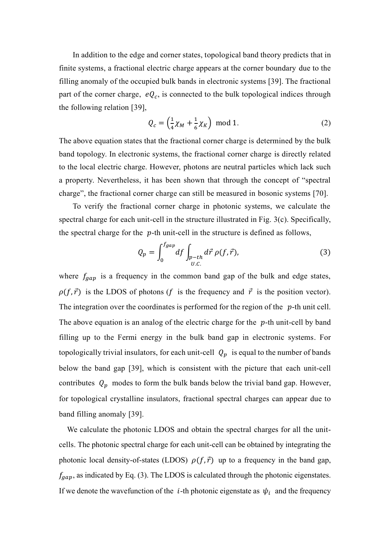In addition to the edge and corner states, topological band theory predicts that in finite systems, a fractional electric charge appears at the corner boundary due to the filling anomaly of the occupied bulk bands in electronic systems [39]. The fractional part of the corner charge,  $eQ_c$ , is connected to the bulk topological indices through the following relation [39],

$$
Q_c = \left(\frac{1}{4}\chi_M + \frac{1}{6}\chi_K\right) \text{ mod } 1. \tag{2}
$$

The above equation states that the fractional corner charge is determined by the bulk band topology. In electronic systems, the fractional corner charge is directly related to the local electric charge. However, photons are neutral particles which lack such a property. Nevertheless, it has been shown that through the concept of "spectral charge", the fractional corner charge can still be measured in bosonic systems [70].

To verify the fractional corner charge in photonic systems, we calculate the spectral charge for each unit-cell in the structure illustrated in Fig.  $3(c)$ . Specifically, the spectral charge for the  $p$ -th unit-cell in the structure is defined as follows,

$$
Q_p = \int_0^{f_{gap}} df \int_{\substack{p-th \\ U.C.}} d\vec{r} \, \rho(f, \vec{r}), \tag{3}
$$

where  $f_{gap}$  is a frequency in the common band gap of the bulk and edge states,  $\rho(f, \vec{r})$  is the LDOS of photons (f is the frequency and  $\vec{r}$  is the position vector). The integration over the coordinates is performed for the region of the  $p$ -th unit cell. The above equation is an analog of the electric charge for the  $p$ -th unit-cell by band filling up to the Fermi energy in the bulk band gap in electronic systems. For topologically trivial insulators, for each unit-cell  $Q_p$  is equal to the number of bands below the band gap [39], which is consistent with the picture that each unit-cell contributes  $Q_p$  modes to form the bulk bands below the trivial band gap. However, for topological crystalline insulators, fractional spectral charges can appear due to band filling anomaly [39].

We calculate the photonic LDOS and obtain the spectral charges for all the unitcells. The photonic spectral charge for each unit-cell can be obtained by integrating the photonic local density-of-states (LDOS)  $\rho(f, \vec{r})$  up to a frequency in the band gap,  $f_{\text{gap}}$ , as indicated by Eq. (3). The LDOS is calculated through the photonic eigenstates. If we denote the wavefunction of the *i*-th photonic eigenstate as  $\psi_i$  and the frequency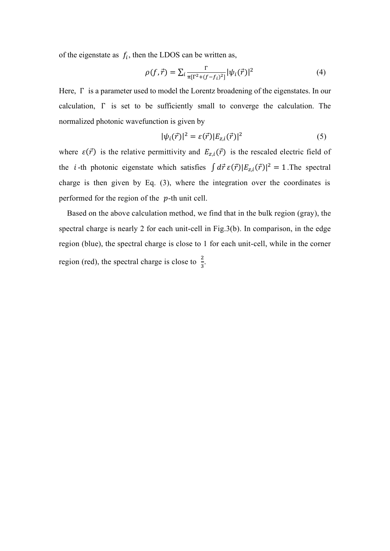of the eigenstate as  $f_i$ , then the LDOS can be written as,

$$
\rho(f, \vec{r}) = \sum_{i} \frac{\Gamma}{\pi [\Gamma^2 + (f - f_i)^2]} |\psi_i(\vec{r})|^2
$$
(4)

Here, Γ is a parameter used to model the Lorentz broadening of the eigenstates. In our calculation, Γ is set to be sufficiently small to converge the calculation. The normalized photonic wavefunction is given by

$$
|\psi_i(\vec{r})|^2 = \varepsilon(\vec{r}) |E_{z,i}(\vec{r})|^2 \tag{5}
$$

where  $\varepsilon(\vec{r})$  is the relative permittivity and  $E_{z,i}(\vec{r})$  is the rescaled electric field of the *i*-th photonic eigenstate which satisfies  $\int d\vec{r} \, \epsilon(\vec{r}) |E_{z,i}(\vec{r})|^2 = 1$ . The spectral charge is then given by Eq.  $(3)$ , where the integration over the coordinates is performed for the region of the  $p$ -th unit cell.

Based on the above calculation method, we find that in the bulk region (gray), the spectral charge is nearly 2 for each unit-cell in Fig.3(b). In comparison, in the edge region (blue), the spectral charge is close to 1 for each unit-cell, while in the corner region (red), the spectral charge is close to  $\frac{2}{3}$ .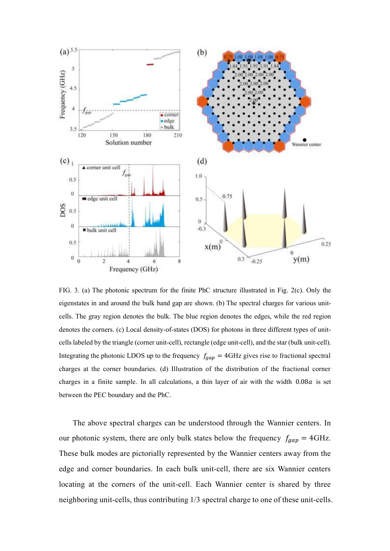

FIG. 3. (a) The photonic spectrum for the finite PhC structure illustrated in Fig. 2(c). Only the eigenstates in and around the bulk band gap are shown. (b) The spectral charges for various unitcells. The gray region denotes the bulk. The blue region denotes the edges, while the red region denotes the corners. (c) Local density-of-states (DOS) for photons in three different types of unitcells labeled by the triangle (corner unit-cell), rectangle (edge unit-cell), and the star (bulk unit-cell). Integrating the photonic LDOS up to the frequency  $f_{gap} = 4 \text{GHz}$  gives rise to fractional spectral charges at the corner boundaries. (d) Illustration of the distribution of the fractional corner charges in a finite sample. In all calculations, a thin layer of air with the width  $0.08a$  is set between the PEC boundary and the PhC.

The above spectral charges can be understood through the Wannier centers. In our photonic system, there are only bulk states below the frequency  $f_{gap} = 4 \text{GHz}$ . These bulk modes are pictorially represented by the Wannier centers away from the edge and corner boundaries. In each bulk unit-cell, there are six Wannier centers locating at the corners of the unit-cell. Each Wannier center is shared by three neighboring unit-cells, thus contributing 1/3 spectral charge to one of these unit-cells.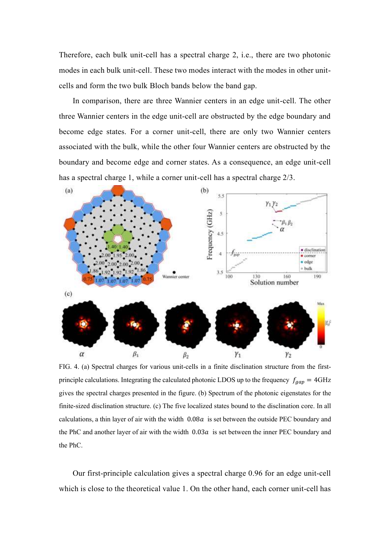Therefore, each bulk unit-cell has a spectral charge 2, i.e., there are two photonic modes in each bulk unit-cell. These two modes interact with the modes in other unitcells and form the two bulk Bloch bands below the band gap.

In comparison, there are three Wannier centers in an edge unit-cell. The other three Wannier centers in the edge unit-cell are obstructed by the edge boundary and become edge states. For a corner unit-cell, there are only two Wannier centers associated with the bulk, while the other four Wannier centers are obstructed by the boundary and become edge and corner states. As a consequence, an edge unit-cell has a spectral charge 1, while a corner unit-cell has a spectral charge 2/3.



FIG. 4. (a Spectral charges for various unit-cells in a finite disclination structure from the firstprinciple calculations. Integrating the calculated photonic LDOS up to the frequency  $f_{gap} = 4 \text{GHz}$ gives the spectral charges presented in the figure. (b) Spectrum of the photonic eigenstates for the finite-sized disclination structure. (c) The five localized states bound to the disclination core. In all calculations, a thin layer of air with the width  $0.08a$  is set between the outside PEC boundary and the PhC and another layer of air with the width  $0.03a$  is set between the inner PEC boundary and the PhC.

Our first-principle calculation gives a spectral charge 0.96 for an edge unit-cell which is close to the theoretical value 1. On the other hand, each corner unit-cell has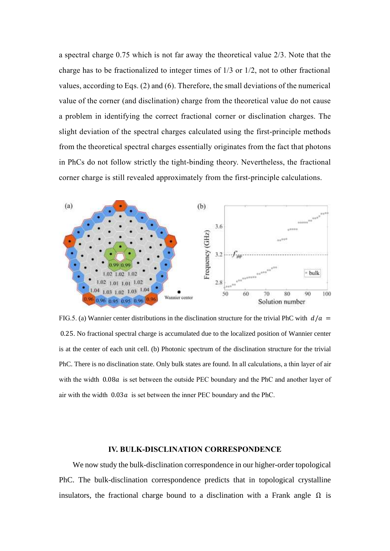a spectral charge 0.75 which is not far away the theoretical value 2/3. Note that the charge has to be fractionalized to integer times of 1/3 or 1/2, not to other fractional values, according to Eqs.  $(2)$  and  $(6)$ . Therefore, the small deviations of the numerical value of the corner (and disclination) charge from the theoretical value do not cause a problem in identifying the correct fractional corner or disclination charges. The slight deviation of the spectral charges calculated using the first-principle methods from the theoretical spectral charges essentially originates from the fact that photons in PhCs do not follow strictly the tight-binding theory. Nevertheless, the fractional corner charge is still revealed approximately from the first-principle calculations.



FIG.5. (a) Wannier center distributions in the disclination structure for the trivial PhC with  $d/a =$ 0.25. No fractional spectral charge is accumulated due to the localized position of Wannier center is at the center of each unit cell. (b) Photonic spectrum of the disclination structure for the trivial PhC. There is no disclination state. Only bulk states are found. In all calculations, a thin layer of air with the width 0.08a is set between the outside PEC boundary and the PhC and another layer of air with the width  $0.03a$  is set between the inner PEC boundary and the PhC.

#### **IV. BULK-DISCLINATION CORRESPONDENCE**

We now study the bulk-disclination correspondence in our higher-order topological PhC. The bulk-disclination correspondence predicts that in topological crystalline insulators, the fractional charge bound to a disclination with a Frank angle  $\Omega$  is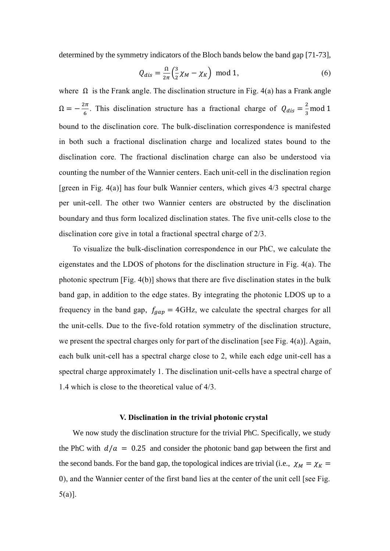determined by the symmetry indicators of the Bloch bands below the band gap [71-73],

$$
Q_{dis} = \frac{\Omega}{2\pi} \left(\frac{3}{2}\chi_M - \chi_K\right) \text{ mod } 1,\tag{6}
$$

where  $\Omega$  is the Frank angle. The disclination structure in Fig. 4(a) has a Frank angle  $\Omega = -\frac{2\pi}{6}$  $\frac{2\pi}{6}$ . This disclination structure has a fractional charge of  $Q_{dis} = \frac{2}{3}$  $rac{2}{3}$  mod 1 bound to the disclination core. The bulk-disclination correspondence is manifested in both such a fractional disclination charge and localized states bound to the disclination core. The fractional disclination charge can also be understood via counting the number of the Wannier centers. Each unit-cell in the disclination region [green in Fig. 4(a)] has four bulk Wannier centers, which gives 4/3 spectral charge per unit-cell. The other two Wannier centers are obstructed by the disclination boundary and thus form localized disclination states. The five unit-cells close to the disclination core give in total a fractional spectral charge of 2/3.

To visualize the bulk-disclination correspondence in our PhC, we calculate the eigenstates and the LDOS of photons for the disclination structure in Fig.  $4(a)$ . The photonic spectrum [Fig.  $4(b)$ ] shows that there are five disclination states in the bulk band gap, in addition to the edge states. By integrating the photonic LDOS up to a frequency in the band gap,  $f_{gap} = 4 \text{GHz}$ , we calculate the spectral charges for all the unit-cells. Due to the five-fold rotation symmetry of the disclination structure, we present the spectral charges only for part of the disclination [see Fig.  $4(a)$ ]. Again, each bulk unit-cell has a spectral charge close to 2, while each edge unit-cell has a spectral charge approximately 1. The disclination unit-cells have a spectral charge of 1.4 which is close to the theoretical value of 4/3.

#### **V. Disclination in the trivial photonic crystal**

We now study the disclination structure for the trivial PhC. Specifically, we study the PhC with  $d/a = 0.25$  and consider the photonic band gap between the first and the second bands. For the band gap, the topological indices are trivial (i.e.,  $\chi_M = \chi_K =$ 0), and the Wannier center of the first band lies at the center of the unit cell [see Fig.  $5(a)$ ].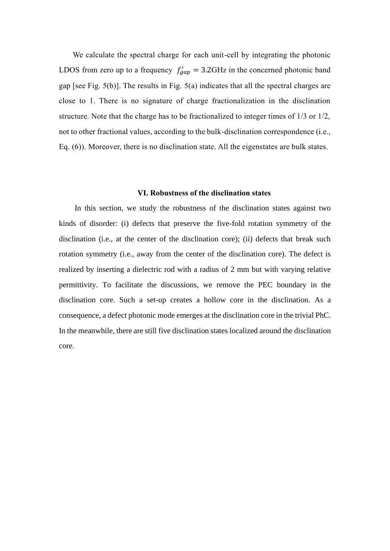We calculate the spectral charge for each unit-cell by integrating the photonic LDOS from zero up to a frequency  $f'_{gap} = 3.2 \text{GHz}$  in the concerned photonic band gap [see Fig.  $5(b)$ ]. The results in Fig.  $5(a)$  indicates that all the spectral charges are close to 1. There is no signature of charge fractionalization in the disclination structure. Note that the charge has to be fractionalized to integer times of 1/3 or 1/2, not to other fractional values, according to the bulk-disclination correspondence (i.e., Eq.  $(6)$ ). Moreover, there is no disclination state. All the eigenstates are bulk states.

#### **VI. Robustness of the disclination states**

In this section, we study the robustness of the disclination states against two kinds of disorder: (i) defects that preserve the five-fold rotation symmetry of the disclination (i.e., at the center of the disclination core); (ii) defects that break such rotation symmetry (i.e., away from the center of the disclination core). The defect is realized by inserting a dielectric rod with a radius of 2 mm but with varying relative permittivity. To facilitate the discussions, we remove the PEC boundary in the disclination core. Such a set-up creates a hollow core in the disclination. As a consequence, a defect photonic mode emerges at the disclination core in the trivial PhC. In the meanwhile, there are still five disclination states localized around the disclination core.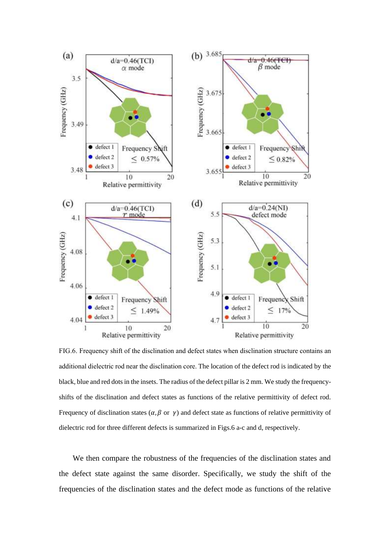

FIG.6. Frequency shift of the disclination and defect states when disclination structure contains an additional dielectric rod near the disclination core. The location of the defect rod is indicated by the black, blue and red dots in the insets. The radius of the defect pillar is 2 mm. We study the frequencyshifts of the disclination and defect states as functions of the relative permittivity of defect rod. Frequency of disclination states ( $\alpha$ ,  $\beta$  or  $\gamma$ ) and defect state as functions of relative permittivity of dielectric rod for three different defects is summarized in Figs.6 a-c and d, respectively.

We then compare the robustness of the frequencies of the disclination states and the defect state against the same disorder. Specifically, we study the shift of the frequencies of the disclination states and the defect mode as functions of the relative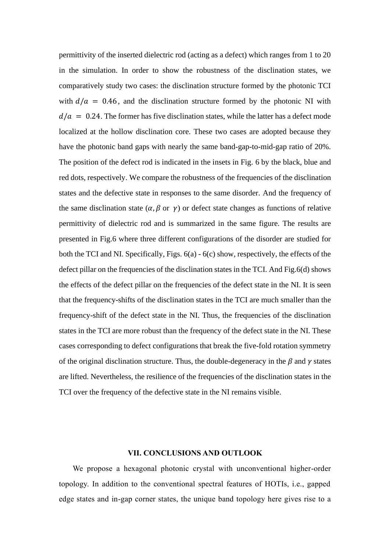permittivity of the inserted dielectric rod (acting as a defect) which ranges from 1 to 20 in the simulation. In order to show the robustness of the disclination states, we comparatively study two cases: the disclination structure formed by the photonic TCI with  $d/a = 0.46$ , and the disclination structure formed by the photonic NI with  $d/a = 0.24$ . The former has five disclination states, while the latter has a defect mode localized at the hollow disclination core. These two cases are adopted because they have the photonic band gaps with nearly the same band-gap-to-mid-gap ratio of 20%. The position of the defect rod is indicated in the insets in Fig. 6 by the black, blue and red dots, respectively. We compare the robustness of the frequencies of the disclination states and the defective state in responses to the same disorder. And the frequency of the same disclination state  $(\alpha, \beta \text{ or } \gamma)$  or defect state changes as functions of relative permittivity of dielectric rod and is summarized in the same figure. The results are presented in Fig.6 where three different configurations of the disorder are studied for both the TCI and NI. Specifically, Figs. 6(a) - 6(c) show, respectively, the effects of the defect pillar on the frequencies of the disclination states in the TCI. And Fig.6(d) shows the effects of the defect pillar on the frequencies of the defect state in the NI. It is seen that the frequency-shifts of the disclination states in the TCI are much smaller than the frequency-shift of the defect state in the NI. Thus, the frequencies of the disclination states in the TCI are more robust than the frequency of the defect state in the NI. These cases corresponding to defect configurations that break the five-fold rotation symmetry of the original disclination structure. Thus, the double-degeneracy in the  $\beta$  and  $\gamma$  states are lifted. Nevertheless, the resilience of the frequencies of the disclination states in the TCI over the frequency of the defective state in the NI remains visible.

#### **VII. CONCLUSIONS AND OUTLOOK**

We propose a hexagonal photonic crystal with unconventional higher-order topology. In addition to the conventional spectral features of HOTIs, i.e., gapped edge states and in-gap corner states, the unique band topology here gives rise to a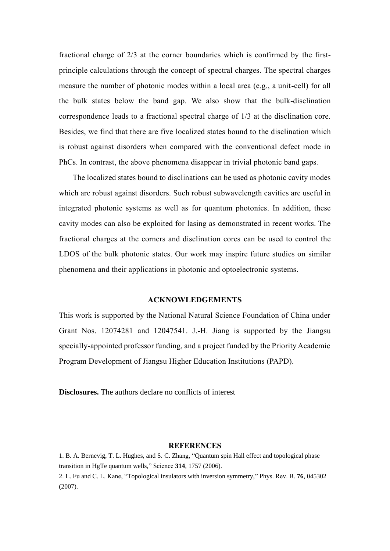fractional charge of 2/3 at the corner boundaries which is confirmed by the firstprinciple calculations through the concept of spectral charges. The spectral charges measure the number of photonic modes within a local area  $(e.g., a unit-cell)$  for all the bulk states below the band gap. We also show that the bulk-disclination correspondence leads to a fractional spectral charge of 1/3 at the disclination core. Besides, we find that there are five localized states bound to the disclination which is robust against disorders when compared with the conventional defect mode in PhCs. In contrast, the above phenomena disappear in trivial photonic band gaps.

The localized states bound to disclinations can be used as photonic cavity modes which are robust against disorders. Such robust subwavelength cavities are useful in integrated photonic systems as well as for quantum photonics. In addition, these cavity modes can also be exploited for lasing as demonstrated in recent works. The fractional charges at the corners and disclination cores can be used to control the LDOS of the bulk photonic states. Our work may inspire future studies on similar phenomena and their applications in photonic and optoelectronic systems.

# **ACKNOWLEDGEMENTS**

This work is supported by the National Natural Science Foundation of China under Grant Nos. 12074281 and 12047541. J.-H. Jiang is supported by the Jiangsu specially-appointed professor funding, and a project funded by the Priority Academic Program Development of Jiangsu Higher Education Institutions (PAPD).

**Disclosures.** The authors declare no conflicts of interest

### **REFERENCES**

1. B. A. Bernevig, T. L. Hughes, and S. C. Zhang, "Quantum spin Hall effect and topological phase transition in HgTe quantum wells," Science **314**, 1757 (2006). 2. L. Fu and C. L. Kane, "Topological insulators with inversion symmetry," Phys. Rev. B. **76**, 045302 (2007).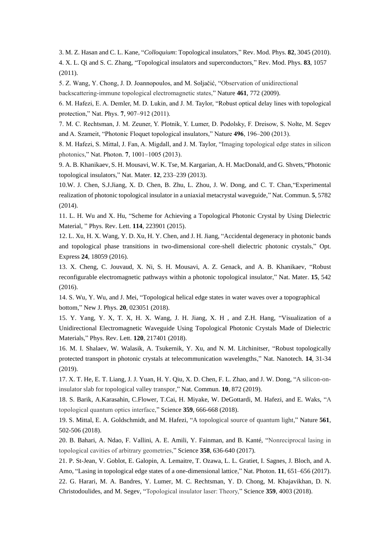3. M. Z. Hasan and C. L. Kane, "*Colloquium*: Topological insulators," Rev. Mod. Phys. **82**, 3045 (2010). 4. X. L. Qi and S. C. Zhang, "Topological insulators and superconductors," Rev. Mod. Phys. **83**, 1057 (2011).

5. Z. Wang, Y. Chong, J. ). Joannopoulos, and M. Soljačić, "Observation of unidirectional backscattering-immune topological electromagnetic states," Nature **461**, 772 (2009).

6. M. Hafezi, E. A. Demler, M. D. Lukin, and J. M. Taylor, "Robust optical delay lines with topological protection," Nat. Phys. 7, 907-912 (2011).

7. M. C. Rechtsman, J. M. Zeuner, Y. Plotnik, Y. Lumer, D. Podolsky, F. Dreisow, S. Nolte, M. Segev and A. Szameit, "Photonic Floquet topological insulators," Nature **496**, 196–200 (2013 .

8. M. Hafezi, S. Mittal, J. Fan, A. Migdall, and J. M. Taylor, "Imaging topological edge states in silicon photonics," Nat. Photon. **7**, 1001–1005 (2013 .

9. A. B. Khanikaev, S. H. Mousavi, W. K. Tse, M. Kargarian, A. H. MacDonald, and G. Shvets,"Photonic topological insulators," Nat. Mater. **12**, 233–239 (2013).

10.W. J. Chen, S.J.Jiang, X. D. Chen, B. Zhu, L. Zhou, J. W. Dong, and C. T. Chan,"Experimental realization of photonic topological insulator in a uniaxial metacrystal waveguide," Nat. Commun. **5**, 5782 (2014).

11. L. H. Wu and X. Hu, "Scheme for Achieving a Topological Photonic Crystal by Using Dielectric Material, " Phys. Rev. Lett. **114**, 223901 (2015).

12. L. Xu, H. X. Wang, Y. D. Xu, H. Y. Chen, and J. H. Jiang, "Accidental degeneracy in photonic bands and topological phase transitions in two-dimensional core-shell dielectric photonic crystals," Opt. Express **24**, 18059 (2016).

13. X. Cheng, C. Jouvaud, X. Ni, S. H. Mousavi, A. Z. Genack, and A. B. Khanikaev, "Robust reconfigurable electromagnetic pathways within a photonic topological insulator," Nat. Mater. **15**, 542 (2016).

14. S. Wu, Y. Wu, and J. Mei, "Topological helical edge states in water waves over a topographical bottom," New J. Phys. **20**, 023051 (2018).

15. Y. Yang, Y. X, T. X, H. X. Wang, J. H. Jiang, X. H , and Z.H. Hang, "Visualization of a Unidirectional Electromagnetic Waveguide Using Topological Photonic Crystals Made of Dielectric Materials," Phys. Rev. Lett. **120**, 217401 (2018).

16. M. I. Shalaev, W. Walasik, A. Tsukernik, Y. Xu, and N. M. Litchinitser, "Robust topologically protected transport in photonic crystals at telecommunication wavelengths," Nat. Nanotech. **14**, 31-34 (2019).

17. X. T. He, E. T. Liang, J. J. Yuan, H. Y. Qiu, X. D. Chen, F. L. Zhao, and J. W. Dong, "A silicon-oninsulator slab for topological valley transpor," Nat. Commun. **10**, 872 (2019).

18. S. Barik, A.Karasahin, C.Flower, T.Cai, H. Miyake, W. DeGottardi, M. Hafezi, and E. Waks, "A topological quantum optics interface," Science **359**, 666-668 (2018).

19. S. Mittal, E. A. Goldschmidt, and M. Hafezi, "A topological source of quantum light," Nature **561**, 502-506 (2018).

20. B. Bahari, A. Ndao, F. Vallini, A. E. Amili, Y. Fainman, and B. Kanté, "Nonreciprocal lasing in topological cavities of arbitrary geometries," Science **358**, 636-640 (2017).

21. P. St-Jean, V. Goblot, E. Galopin, A. Lemaitre, T. Ozawa, L. L. Gratiet, I. Sagnes, J. Bloch, and A. Amo, "Lasing in topological edge states of a one-dimensional lattice," Nat. Photon. **11**, 651–656 (2017). 22. G. Harari, M. A. Bandres, Y. Lumer, M. C. Rechtsman, Y. D. Chong, M. Khajavikhan, D. N. Christodoulides, and M. Segev, "Topological insulator laser: Theory," Science **359**, 4003 (2018).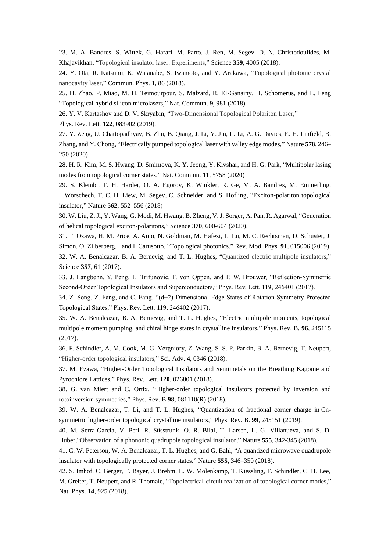23. M. A. Bandres, S. Wittek, G. Harari, M. Parto, J. Ren, M. Segev, D. N. Christodoulides, M. Khajavikhan, "Topological insulator laser: Experiments," Science **359**, 4005 (2018).

24. Y. Ota, R. Katsumi, K. Watanabe, S. Iwamoto, and Y. Arakawa, "Topological photonic crystal nanocavity laser," Commun. Phys. **1**, 86 (2018).

25. H. Zhao, P. Miao, M. H. Teimourpour, S. Malzard, R. EI-Ganainy, H. Schomerus, and L. Feng "Topological hybrid silicon microlasers," Nat. Commun. **9**, 981 (2018)

26. Y. V. Kartashov and D. V. Skryabin, "Two-Dimensional Topological Polariton Laser,"

Phys. Rev. Lett. **122**, 083902 (2019).

27. Y. Zeng, U. Chattopadhyay, B. Zhu, B. Qiang, J. Li, Y. Jin, L. Li, A. G. Davies, E. H. Linfield, B. Zhang, and Y. Chong, "Electrically pumped topological laser with valley edge modes," Nature **578**, 246– 250 (2020).

28. H. R. Kim, M. S. Hwang, D. Smirnova, K. Y. Jeong, Y. Kivshar, and H. G. Park, "Multipolar lasing modes from topological corner states," Nat. Commun. **11**, 5758 (2020)

29. S. Klembt, T. H. Harder, O. A. Egorov, K. Winkler, R. Ge, M. A. Bandres, M. Emmerling, L.Worschech, T. C. H. Liew, M. Segev, C. Schneider, and S. Hofling, "Exciton-polariton topological insulator," Nature **562**, 552–556 (2018)

30. W. Liu, Z. Ji, Y. Wang, G. Modi, M. Hwang, B. Zheng, V. J. Sorger, A. Pan, R. Agarwal, "Generation of helical topological exciton-polaritons," Science **370**, 600-604 (2020).

31. T. Ozawa, H. M. Price, A. Amo, N. Goldman, M. Hafezi, L. Lu, M. C. Rechtsman, D. Schuster, J. Simon, O. Zilberberg, and I. Carusotto, "Topological photonics," Rev. Mod. Phys. **91**, 015006 (2019). 32. W. A. Benalcazar, B. A. Bernevig, and T. L. Hughes, "Quantized electric multipole insulators," Science **357**, 61 (2017).

33. J. Langbehn, Y. Peng, L. Trifunovic, F. von Oppen, and P. W. Brouwer, "Reflection-Symmetric Second-Order Topological Insulators and Superconductors," Phys. Rev. Lett. **119**, 246401 (2017 .

34. Z. Song, Z. Fang, and C. Fang, "(d−2)-Dimensional Edge States of Rotation Symmetry Protected Topological States," Phys. Rev. Lett. **119**, 246402 (2017 .

35. W. A. Benalcazar, B. A. Bernevig, and T. L. Hughes, "Electric multipole moments, topological multipole moment pumping, and chiral hinge states in crystalline insulators," Phys. Rev. B. **96**, 245115 (2017).

36. F. Schindler, A. M. Cook, M. G. Vergniory, Z. Wang, S. S. P. Parkin, B. A. Bernevig, T. Neupert, "Higher-order topological insulators," Sci. Adv. **4**, 0346 (2018).

37. M. Ezawa, "Higher-Order Topological Insulators and Semimetals on the Breathing Kagome and Pyrochlore Lattices," Phys. Rev. Lett. **120**, 026801 (2018).

38. G. van Miert and C. Ortix, "Higher-order topological insulators protected by inversion and rotoinversion symmetries," Phys. Rev. B **98**, 081110(R) (2018).

39. W. A. Benalcazar, T. Li, and T. L. Hughes, "Quantization of fractional corner charge in Cnsymmetric higher-order topological crystalline insulators," Phys. Rev. B. **99**, 245151 (2019).

40. M. Serra-Garcia, V. Peri, R. Süsstrunk, O. R. Bilal, T. Larsen, L. G. Villanueva, and S. D. Huber,"Observation of a phononic quadrupole topological insulator," Nature **555**, 342-345 (2018).

41. C. W. Peterson, W. A. Benalcazar, T. L. Hughes, and G. Bahl, "A quantized microwave quadrupole insulator with topologically protected corner states," Nature **555**, 346–350 (2018).

42. S. Imhof, C. Berger, F. Bayer, J. Brehm, L. W. Molenkamp, T. Kiessling, F. Schindler, C. H. Lee, M. Greiter, T. Neupert, and R. Thomale, "Topolectrical-circuit realization of topological corner modes," Nat. Phys. **14**, 925 (2018).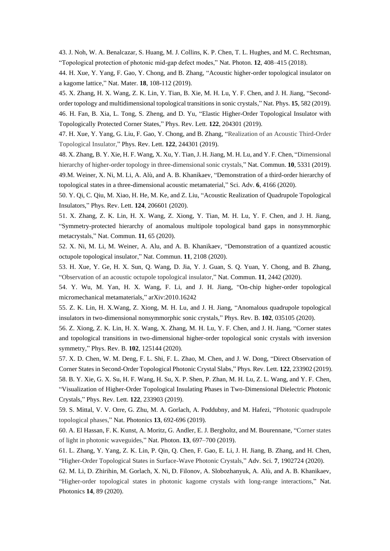43. J. Noh, W. A. Benalcazar, S. Huang, M. J. Collins, K. P. Chen, T. L. Hughes, and M. C. Rechtsman, "Topological protection of photonic mid-gap defect modes," Nat. Photon. **12**, 408–415 (2018).

44. H. Xue, Y. Yang, F. Gao, Y. Chong, and B. Zhang, "Acoustic higher-order topological insulator on a kagome lattice," Nat. Mater. **18**, 108-112 (2019).

45. X. Zhang, H. X. Wang, Z. K. Lin, Y. Tian, B. Xie, M. H. Lu, Y. F. Chen, and J. H. Jiang, "Secondorder topology and multidimensional topological transitions in sonic crystals," Nat. Phys. **15**, 582 (2019). 46. H. Fan, B. Xia, L. Tong, S. Zheng, and D. Yu, "Elastic Higher-Order Topological Insulator with Topologically Protected Corner States," Phys. Rev. Lett. **122**, 204301 (2019).

47. H. Xue, Y. Yang, G. Liu, F. Gao, Y. Chong, and B. Zhang, "Realization of an Acoustic Third-Order Topological Insulator," Phys. Rev. Lett. **122**, 244301 (2019).

48. X. Zhang, B. Y. Xie, H. F. Wang, X. Xu, Y. Tian, J. H. Jiang, M. H. Lu, and Y. F. Chen, "Dimensional hierarchy of higher-order topology in three-dimensional sonic crystals," Nat. Commun. **10**, 5331 (2019).

49.M. Weiner, X. Ni, M. Li, A. Alù, and A. B. Khanikaev, "Demonstration of a third-order hierarchy of topological states in a three-dimensional acoustic metamaterial," Sci. Adv. **6**, 4166 (2020).

50. Y. Qi, C. Qiu, M. Xiao, H. He, M. Ke, and Z. Liu, "Acoustic Realization of Quadrupole Topological Insulators," Phys. Rev. Lett. **124**, 206601 (2020).

51. X. Zhang, Z. K. Lin, H. X. Wang, Z. Xiong, Y. Tian, M. H. Lu, Y. F. Chen, and J. H. Jiang, "Symmetry-protected hierarchy of anomalous multipole topological band gaps in nonsymmorphic metacrystals," Nat. Commun. **11**, 65 (2020).

52. X. Ni, M. Li, M. Weiner, A. Alu, and A. B. Khanikaev, "Demonstration of a quantized acoustic octupole topological insulator," Nat. Commun. **11**, 2108 (2020).

53. H. Xue, Y. Ge, H. X. Sun, Q. Wang, D. Jia, Y. J. Guan, S. Q. Yuan, Y. Chong, and B. Zhang, "Observation of an acoustic octupole topological insulator," Nat. Commun. **11**, 2442 (2020).

54. Y. Wu, M. Yan, H. X. Wang, F. Li, and J. H. Jiang, "On-chip higher-order topological micromechanical metamaterials," arXiv:2010.16242

55. Z. K. Lin, H. X.Wang, Z. Xiong, M. H. Lu, and J. H. Jiang, "Anomalous quadrupole topological insulators in two-dimensional nonsymmorphic sonic crystals," Phys. Rev. B. **102**, 035105 (2020).

56. Z. Xiong, Z. K. Lin, H. X. Wang, X. Zhang, M. H. Lu, Y. F. Chen, and J. H. Jiang, "Corner states and topological transitions in two-dimensional higher-order topological sonic crystals with inversion symmetry," Phys. Rev. B. **102**, 125144 (2020).

57. X. D. Chen, W. M. Deng, F. L. Shi, F. L. Zhao, M. Chen, and J. W. Dong, "Direct Observation of Corner States in Second-Order Topological Photonic Crystal Slabs," Phys. Rev. Lett. **122**, 233902 (2019). 58. B. Y. Xie, G. X. Su, H. F. Wang, H. Su, X. P. Shen, P. Zhan, M. H. Lu, Z. L. Wang, and Y. F. Chen, "Visualization of Higher-Order Topological Insulating Phases in Two-Dimensional Dielectric Photonic Crystals," Phys. Rev. Lett. **122**, 233903 (2019).

59. S. Mittal, V. V. Orre, G. Zhu, M. A. Gorlach, A. Poddubny, and M. Hafezi, "Photonic quadrupole topological phases," Nat. Photonics **13**, 692-696 (2019).

60. A. El Hassan, F. K. Kunst, A. Moritz, G. Andler, E. J. Bergholtz, and M. Bourennane, "Corner states of light in photonic waveguides," Nat. Photon. **13**, 697–700 (2019).

61. L. Zhang, Y. Yang, Z. K. Lin, P. Qin, Q. Chen, F. Gao, E. Li, J. H. Jiang, B. Zhang, and H. Chen, "Higher‐Order Topological States in Surface‐Wave Photonic Crystals," Adv. Sci. **7**, 1902724 (2020).

62. M. Li, D. Zhirihin, M. Gorlach, X. Ni, D. Filonov, A. Slobozhanyuk, A. Alù, and A. B. Khanikaev, "Higher-order topological states in photonic kagome crystals with long-range interactions," Nat. Photonics **14**, 89 (2020).